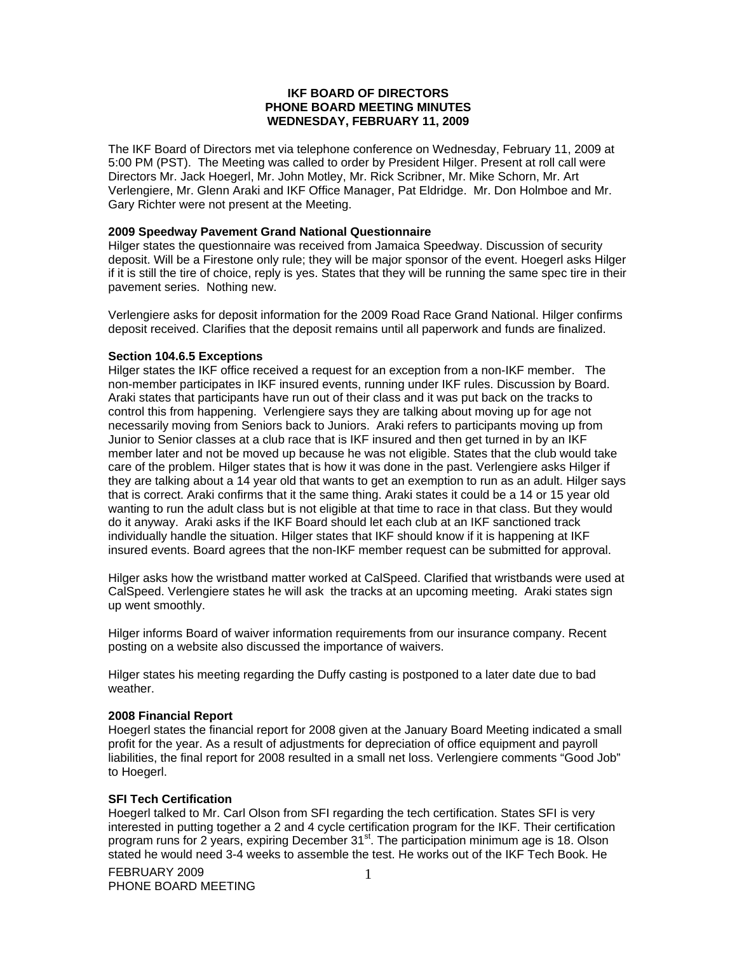# **IKF BOARD OF DIRECTORS PHONE BOARD MEETING MINUTES WEDNESDAY, FEBRUARY 11, 2009**

The IKF Board of Directors met via telephone conference on Wednesday, February 11, 2009 at 5:00 PM (PST). The Meeting was called to order by President Hilger. Present at roll call were Directors Mr. Jack Hoegerl, Mr. John Motley, Mr. Rick Scribner, Mr. Mike Schorn, Mr. Art Verlengiere, Mr. Glenn Araki and IKF Office Manager, Pat Eldridge. Mr. Don Holmboe and Mr. Gary Richter were not present at the Meeting.

# **2009 Speedway Pavement Grand National Questionnaire**

Hilger states the questionnaire was received from Jamaica Speedway. Discussion of security deposit. Will be a Firestone only rule; they will be major sponsor of the event. Hoegerl asks Hilger if it is still the tire of choice, reply is yes. States that they will be running the same spec tire in their pavement series. Nothing new.

Verlengiere asks for deposit information for the 2009 Road Race Grand National. Hilger confirms deposit received. Clarifies that the deposit remains until all paperwork and funds are finalized.

#### **Section 104.6.5 Exceptions**

Hilger states the IKF office received a request for an exception from a non-IKF member. The non-member participates in IKF insured events, running under IKF rules. Discussion by Board. Araki states that participants have run out of their class and it was put back on the tracks to control this from happening. Verlengiere says they are talking about moving up for age not necessarily moving from Seniors back to Juniors. Araki refers to participants moving up from Junior to Senior classes at a club race that is IKF insured and then get turned in by an IKF member later and not be moved up because he was not eligible. States that the club would take care of the problem. Hilger states that is how it was done in the past. Verlengiere asks Hilger if they are talking about a 14 year old that wants to get an exemption to run as an adult. Hilger says that is correct. Araki confirms that it the same thing. Araki states it could be a 14 or 15 year old wanting to run the adult class but is not eligible at that time to race in that class. But they would do it anyway. Araki asks if the IKF Board should let each club at an IKF sanctioned track individually handle the situation. Hilger states that IKF should know if it is happening at IKF insured events. Board agrees that the non-IKF member request can be submitted for approval.

Hilger asks how the wristband matter worked at CalSpeed. Clarified that wristbands were used at CalSpeed. Verlengiere states he will ask the tracks at an upcoming meeting. Araki states sign up went smoothly.

Hilger informs Board of waiver information requirements from our insurance company. Recent posting on a website also discussed the importance of waivers.

Hilger states his meeting regarding the Duffy casting is postponed to a later date due to bad weather.

#### **2008 Financial Report**

Hoegerl states the financial report for 2008 given at the January Board Meeting indicated a small profit for the year. As a result of adjustments for depreciation of office equipment and payroll liabilities, the final report for 2008 resulted in a small net loss. Verlengiere comments "Good Job" to Hoegerl.

#### **SFI Tech Certification**

Hoegerl talked to Mr. Carl Olson from SFI regarding the tech certification. States SFI is very interested in putting together a 2 and 4 cycle certification program for the IKF. Their certification program runs for 2 years, expiring December 31<sup>st</sup>. The participation minimum age is 18. Olson stated he would need 3-4 weeks to assemble the test. He works out of the IKF Tech Book. He

FEBRUARY 2009 PHONE BOARD MEETING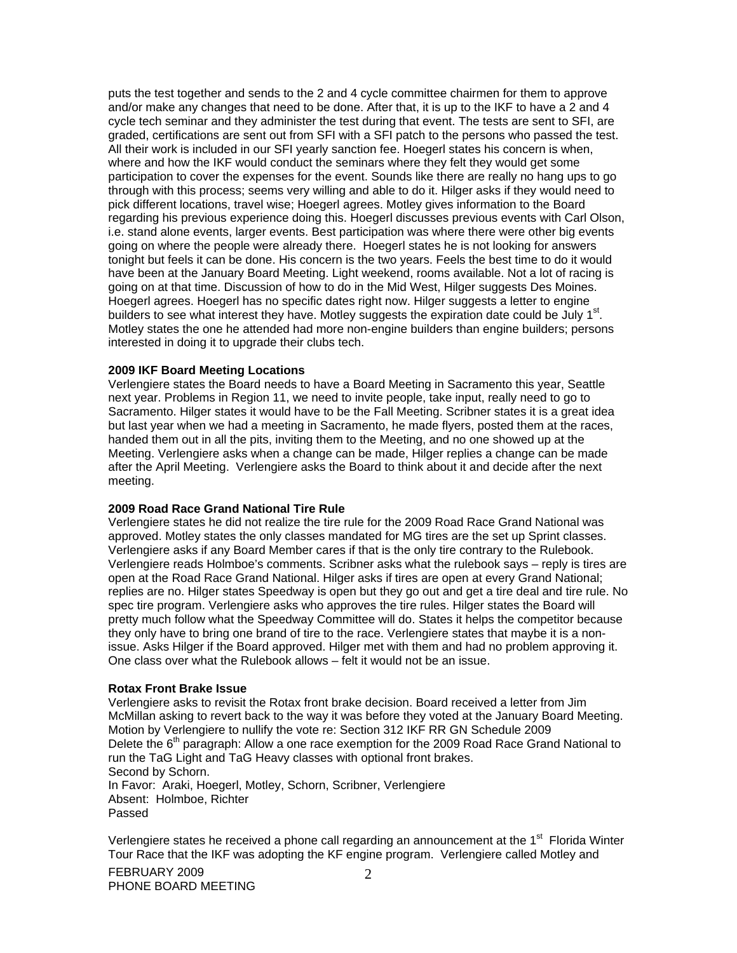puts the test together and sends to the 2 and 4 cycle committee chairmen for them to approve and/or make any changes that need to be done. After that, it is up to the IKF to have a 2 and 4 cycle tech seminar and they administer the test during that event. The tests are sent to SFI, are graded, certifications are sent out from SFI with a SFI patch to the persons who passed the test. All their work is included in our SFI yearly sanction fee. Hoegerl states his concern is when, where and how the IKF would conduct the seminars where they felt they would get some participation to cover the expenses for the event. Sounds like there are really no hang ups to go through with this process; seems very willing and able to do it. Hilger asks if they would need to pick different locations, travel wise; Hoegerl agrees. Motley gives information to the Board regarding his previous experience doing this. Hoegerl discusses previous events with Carl Olson, i.e. stand alone events, larger events. Best participation was where there were other big events going on where the people were already there. Hoegerl states he is not looking for answers tonight but feels it can be done. His concern is the two years. Feels the best time to do it would have been at the January Board Meeting. Light weekend, rooms available. Not a lot of racing is going on at that time. Discussion of how to do in the Mid West, Hilger suggests Des Moines. Hoegerl agrees. Hoegerl has no specific dates right now. Hilger suggests a letter to engine builders to see what interest they have. Motley suggests the expiration date could be July 1<sup>st</sup>. Motley states the one he attended had more non-engine builders than engine builders; persons interested in doing it to upgrade their clubs tech.

# **2009 IKF Board Meeting Locations**

Verlengiere states the Board needs to have a Board Meeting in Sacramento this year, Seattle next year. Problems in Region 11, we need to invite people, take input, really need to go to Sacramento. Hilger states it would have to be the Fall Meeting. Scribner states it is a great idea but last year when we had a meeting in Sacramento, he made flyers, posted them at the races, handed them out in all the pits, inviting them to the Meeting, and no one showed up at the Meeting. Verlengiere asks when a change can be made, Hilger replies a change can be made after the April Meeting. Verlengiere asks the Board to think about it and decide after the next meeting.

#### **2009 Road Race Grand National Tire Rule**

Verlengiere states he did not realize the tire rule for the 2009 Road Race Grand National was approved. Motley states the only classes mandated for MG tires are the set up Sprint classes. Verlengiere asks if any Board Member cares if that is the only tire contrary to the Rulebook. Verlengiere reads Holmboe's comments. Scribner asks what the rulebook says – reply is tires are open at the Road Race Grand National. Hilger asks if tires are open at every Grand National; replies are no. Hilger states Speedway is open but they go out and get a tire deal and tire rule. No spec tire program. Verlengiere asks who approves the tire rules. Hilger states the Board will pretty much follow what the Speedway Committee will do. States it helps the competitor because they only have to bring one brand of tire to the race. Verlengiere states that maybe it is a nonissue. Asks Hilger if the Board approved. Hilger met with them and had no problem approving it. One class over what the Rulebook allows – felt it would not be an issue.

#### **Rotax Front Brake Issue**

Verlengiere asks to revisit the Rotax front brake decision. Board received a letter from Jim McMillan asking to revert back to the way it was before they voted at the January Board Meeting. Motion by Verlengiere to nullify the vote re: Section 312 IKF RR GN Schedule 2009 Delete the  $6<sup>th</sup>$  paragraph: Allow a one race exemption for the 2009 Road Race Grand National to run the TaG Light and TaG Heavy classes with optional front brakes. Second by Schorn. In Favor: Araki, Hoegerl, Motley, Schorn, Scribner, Verlengiere Absent: Holmboe, Richter Passed

Verlengiere states he received a phone call regarding an announcement at the 1<sup>st</sup> Florida Winter Tour Race that the IKF was adopting the KF engine program. Verlengiere called Motley and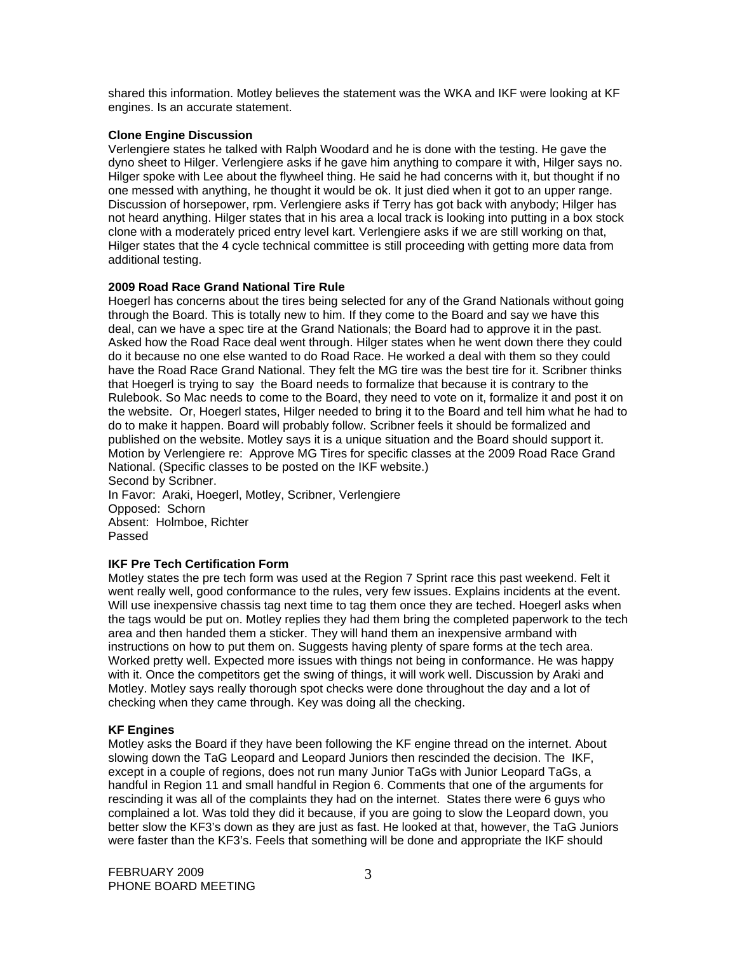shared this information. Motley believes the statement was the WKA and IKF were looking at KF engines. Is an accurate statement.

# **Clone Engine Discussion**

Verlengiere states he talked with Ralph Woodard and he is done with the testing. He gave the dyno sheet to Hilger. Verlengiere asks if he gave him anything to compare it with, Hilger says no. Hilger spoke with Lee about the flywheel thing. He said he had concerns with it, but thought if no one messed with anything, he thought it would be ok. It just died when it got to an upper range. Discussion of horsepower, rpm. Verlengiere asks if Terry has got back with anybody; Hilger has not heard anything. Hilger states that in his area a local track is looking into putting in a box stock clone with a moderately priced entry level kart. Verlengiere asks if we are still working on that, Hilger states that the 4 cycle technical committee is still proceeding with getting more data from additional testing.

# **2009 Road Race Grand National Tire Rule**

Hoegerl has concerns about the tires being selected for any of the Grand Nationals without going through the Board. This is totally new to him. If they come to the Board and say we have this deal, can we have a spec tire at the Grand Nationals; the Board had to approve it in the past. Asked how the Road Race deal went through. Hilger states when he went down there they could do it because no one else wanted to do Road Race. He worked a deal with them so they could have the Road Race Grand National. They felt the MG tire was the best tire for it. Scribner thinks that Hoegerl is trying to say the Board needs to formalize that because it is contrary to the Rulebook. So Mac needs to come to the Board, they need to vote on it, formalize it and post it on the website. Or, Hoegerl states, Hilger needed to bring it to the Board and tell him what he had to do to make it happen. Board will probably follow. Scribner feels it should be formalized and published on the website. Motley says it is a unique situation and the Board should support it. Motion by Verlengiere re: Approve MG Tires for specific classes at the 2009 Road Race Grand National. (Specific classes to be posted on the IKF website.) Second by Scribner.

In Favor: Araki, Hoegerl, Motley, Scribner, Verlengiere Opposed: Schorn Absent: Holmboe, Richter Passed

# **IKF Pre Tech Certification Form**

Motley states the pre tech form was used at the Region 7 Sprint race this past weekend. Felt it went really well, good conformance to the rules, very few issues. Explains incidents at the event. Will use inexpensive chassis tag next time to tag them once they are teched. Hoegerl asks when the tags would be put on. Motley replies they had them bring the completed paperwork to the tech area and then handed them a sticker. They will hand them an inexpensive armband with instructions on how to put them on. Suggests having plenty of spare forms at the tech area. Worked pretty well. Expected more issues with things not being in conformance. He was happy with it. Once the competitors get the swing of things, it will work well. Discussion by Araki and Motley. Motley says really thorough spot checks were done throughout the day and a lot of checking when they came through. Key was doing all the checking.

# **KF Engines**

Motley asks the Board if they have been following the KF engine thread on the internet. About slowing down the TaG Leopard and Leopard Juniors then rescinded the decision. The IKF, except in a couple of regions, does not run many Junior TaGs with Junior Leopard TaGs, a handful in Region 11 and small handful in Region 6. Comments that one of the arguments for rescinding it was all of the complaints they had on the internet. States there were 6 guys who complained a lot. Was told they did it because, if you are going to slow the Leopard down, you better slow the KF3's down as they are just as fast. He looked at that, however, the TaG Juniors were faster than the KF3's. Feels that something will be done and appropriate the IKF should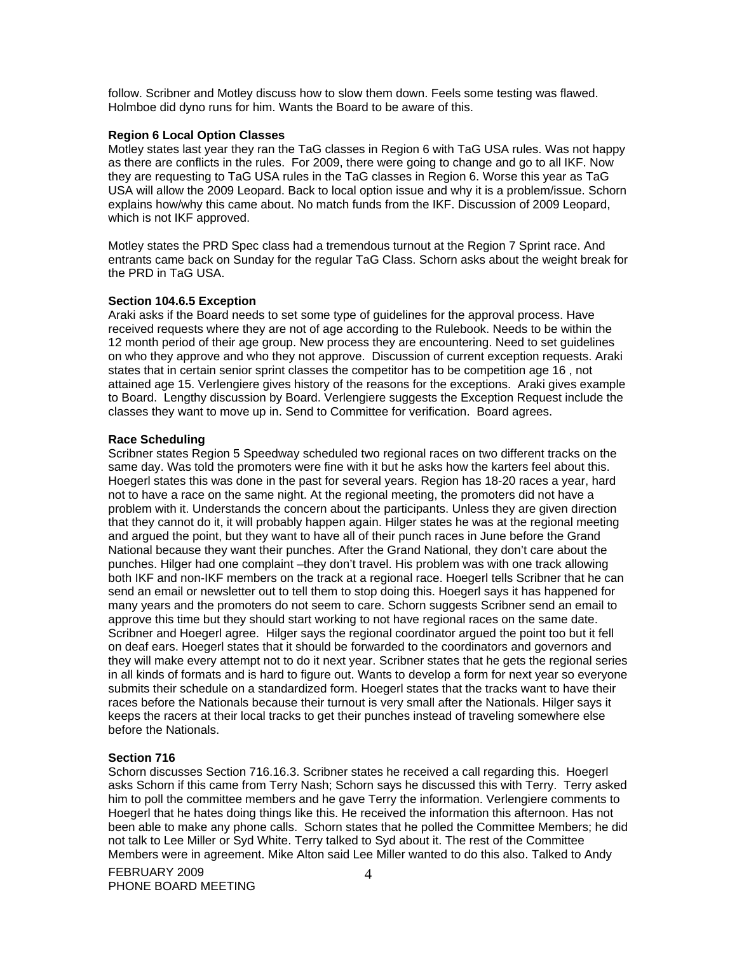follow. Scribner and Motley discuss how to slow them down. Feels some testing was flawed. Holmboe did dyno runs for him. Wants the Board to be aware of this.

## **Region 6 Local Option Classes**

Motley states last year they ran the TaG classes in Region 6 with TaG USA rules. Was not happy as there are conflicts in the rules. For 2009, there were going to change and go to all IKF. Now they are requesting to TaG USA rules in the TaG classes in Region 6. Worse this year as TaG USA will allow the 2009 Leopard. Back to local option issue and why it is a problem/issue. Schorn explains how/why this came about. No match funds from the IKF. Discussion of 2009 Leopard, which is not IKF approved.

Motley states the PRD Spec class had a tremendous turnout at the Region 7 Sprint race. And entrants came back on Sunday for the regular TaG Class. Schorn asks about the weight break for the PRD in TaG USA.

#### **Section 104.6.5 Exception**

Araki asks if the Board needs to set some type of guidelines for the approval process. Have received requests where they are not of age according to the Rulebook. Needs to be within the 12 month period of their age group. New process they are encountering. Need to set guidelines on who they approve and who they not approve. Discussion of current exception requests. Araki states that in certain senior sprint classes the competitor has to be competition age 16 , not attained age 15. Verlengiere gives history of the reasons for the exceptions. Araki gives example to Board. Lengthy discussion by Board. Verlengiere suggests the Exception Request include the classes they want to move up in. Send to Committee for verification. Board agrees.

#### **Race Scheduling**

Scribner states Region 5 Speedway scheduled two regional races on two different tracks on the same day. Was told the promoters were fine with it but he asks how the karters feel about this. Hoegerl states this was done in the past for several years. Region has 18-20 races a year, hard not to have a race on the same night. At the regional meeting, the promoters did not have a problem with it. Understands the concern about the participants. Unless they are given direction that they cannot do it, it will probably happen again. Hilger states he was at the regional meeting and argued the point, but they want to have all of their punch races in June before the Grand National because they want their punches. After the Grand National, they don't care about the punches. Hilger had one complaint –they don't travel. His problem was with one track allowing both IKF and non-IKF members on the track at a regional race. Hoegerl tells Scribner that he can send an email or newsletter out to tell them to stop doing this. Hoegerl says it has happened for many years and the promoters do not seem to care. Schorn suggests Scribner send an email to approve this time but they should start working to not have regional races on the same date. Scribner and Hoegerl agree. Hilger says the regional coordinator argued the point too but it fell on deaf ears. Hoegerl states that it should be forwarded to the coordinators and governors and they will make every attempt not to do it next year. Scribner states that he gets the regional series in all kinds of formats and is hard to figure out. Wants to develop a form for next year so everyone submits their schedule on a standardized form. Hoegerl states that the tracks want to have their races before the Nationals because their turnout is very small after the Nationals. Hilger says it keeps the racers at their local tracks to get their punches instead of traveling somewhere else before the Nationals.

### **Section 716**

Schorn discusses Section 716.16.3. Scribner states he received a call regarding this. Hoegerl asks Schorn if this came from Terry Nash; Schorn says he discussed this with Terry. Terry asked him to poll the committee members and he gave Terry the information. Verlengiere comments to Hoegerl that he hates doing things like this. He received the information this afternoon. Has not been able to make any phone calls. Schorn states that he polled the Committee Members; he did not talk to Lee Miller or Syd White. Terry talked to Syd about it. The rest of the Committee Members were in agreement. Mike Alton said Lee Miller wanted to do this also. Talked to Andy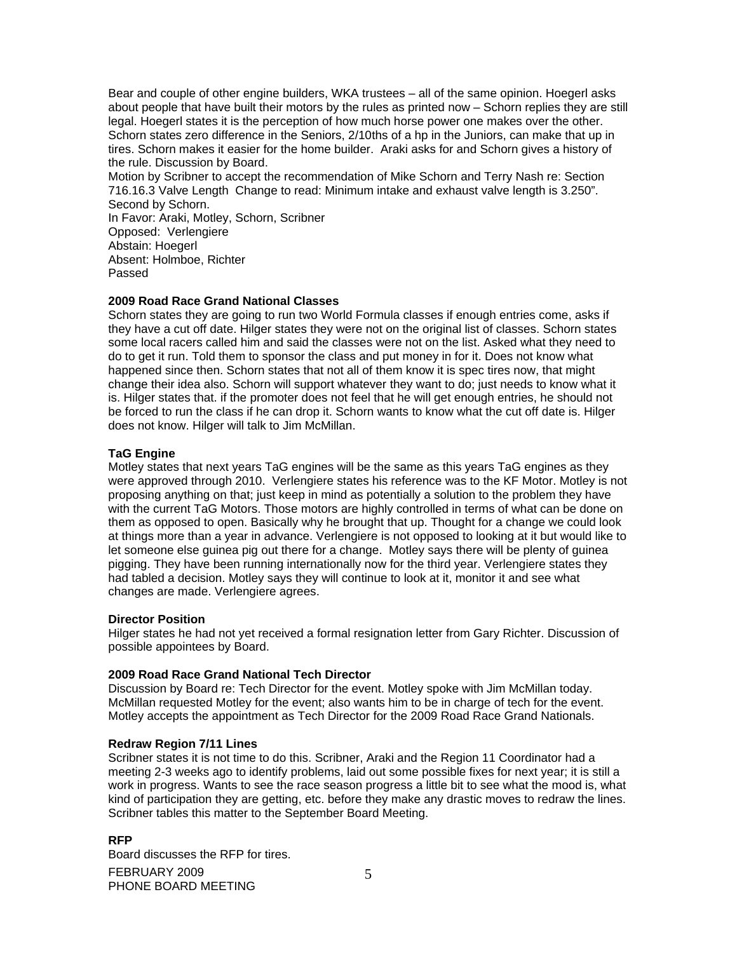Bear and couple of other engine builders, WKA trustees – all of the same opinion. Hoegerl asks about people that have built their motors by the rules as printed now – Schorn replies they are still legal. Hoegerl states it is the perception of how much horse power one makes over the other. Schorn states zero difference in the Seniors, 2/10ths of a hp in the Juniors, can make that up in tires. Schorn makes it easier for the home builder. Araki asks for and Schorn gives a history of the rule. Discussion by Board.

Motion by Scribner to accept the recommendation of Mike Schorn and Terry Nash re: Section 716.16.3 Valve Length Change to read: Minimum intake and exhaust valve length is 3.250". Second by Schorn. In Favor: Araki, Motley, Schorn, Scribner Opposed: Verlengiere Abstain: Hoegerl Absent: Holmboe, Richter

Passed

# **2009 Road Race Grand National Classes**

Schorn states they are going to run two World Formula classes if enough entries come, asks if they have a cut off date. Hilger states they were not on the original list of classes. Schorn states some local racers called him and said the classes were not on the list. Asked what they need to do to get it run. Told them to sponsor the class and put money in for it. Does not know what happened since then. Schorn states that not all of them know it is spec tires now, that might change their idea also. Schorn will support whatever they want to do; just needs to know what it is. Hilger states that. if the promoter does not feel that he will get enough entries, he should not be forced to run the class if he can drop it. Schorn wants to know what the cut off date is. Hilger does not know. Hilger will talk to Jim McMillan.

# **TaG Engine**

Motley states that next years TaG engines will be the same as this years TaG engines as they were approved through 2010. Verlengiere states his reference was to the KF Motor. Motley is not proposing anything on that; just keep in mind as potentially a solution to the problem they have with the current TaG Motors. Those motors are highly controlled in terms of what can be done on them as opposed to open. Basically why he brought that up. Thought for a change we could look at things more than a year in advance. Verlengiere is not opposed to looking at it but would like to let someone else guinea pig out there for a change. Motley says there will be plenty of guinea pigging. They have been running internationally now for the third year. Verlengiere states they had tabled a decision. Motley says they will continue to look at it, monitor it and see what changes are made. Verlengiere agrees.

# **Director Position**

Hilger states he had not yet received a formal resignation letter from Gary Richter. Discussion of possible appointees by Board.

# **2009 Road Race Grand National Tech Director**

Discussion by Board re: Tech Director for the event. Motley spoke with Jim McMillan today. McMillan requested Motley for the event; also wants him to be in charge of tech for the event. Motley accepts the appointment as Tech Director for the 2009 Road Race Grand Nationals.

# **Redraw Region 7/11 Lines**

Scribner states it is not time to do this. Scribner, Araki and the Region 11 Coordinator had a meeting 2-3 weeks ago to identify problems, laid out some possible fixes for next year; it is still a work in progress. Wants to see the race season progress a little bit to see what the mood is, what kind of participation they are getting, etc. before they make any drastic moves to redraw the lines. Scribner tables this matter to the September Board Meeting.

# **RFP**

FEBRUARY 2009 PHONE BOARD MEETING Board discusses the RFP for tires.